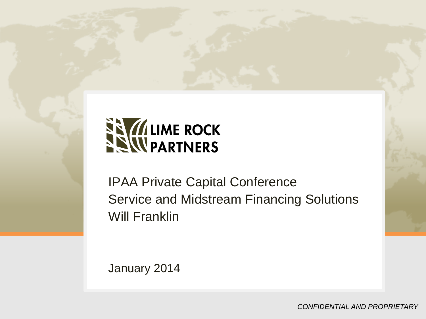

IPAA Private Capital Conference Service and Midstream Financing Solutions Will Franklin

January 2014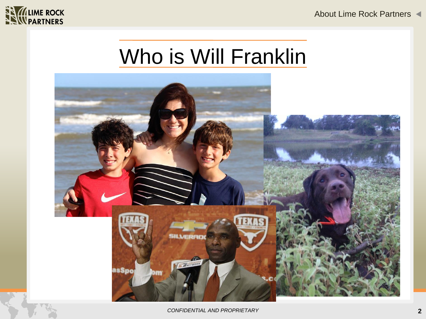



# Who is Will Franklin



*CONFIDENTIAL AND PROPRIETARY*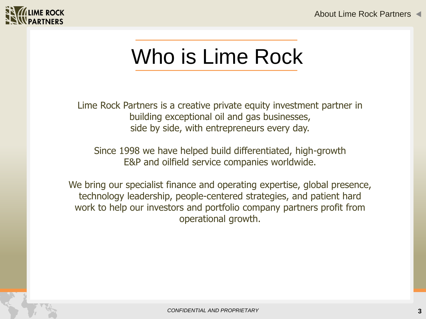

# Who is Lime Rock

Lime Rock Partners is a creative private equity investment partner in building exceptional oil and gas businesses, side by side, with entrepreneurs every day.

Since 1998 we have helped build differentiated, high-growth E&P and oilfield service companies worldwide.

We bring our specialist finance and operating expertise, global presence, technology leadership, people-centered strategies, and patient hard work to help our investors and portfolio company partners profit from operational growth.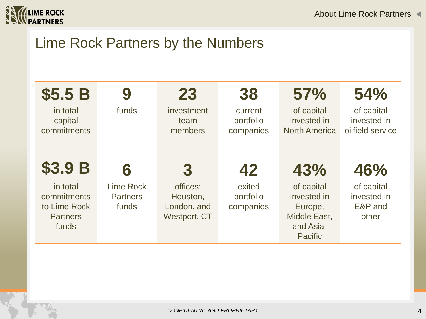

## Lime Rock Partners by the Numbers

| \$5.5B                                                              | 9                                            | 23                                                  | 38                                | 57%                                                                                 | 54%                                           |
|---------------------------------------------------------------------|----------------------------------------------|-----------------------------------------------------|-----------------------------------|-------------------------------------------------------------------------------------|-----------------------------------------------|
| in total<br>capital<br>commitments                                  | funds                                        | investment<br>team<br>members                       | current<br>portfolio<br>companies | of capital<br>invested in<br><b>North America</b>                                   | of capital<br>invested in<br>oilfield service |
| <b>\$3.9 B</b>                                                      | 6                                            | 3                                                   | 42                                | 43%                                                                                 | 46%                                           |
| in total<br>commitments<br>to Lime Rock<br><b>Partners</b><br>funds | <b>Lime Rock</b><br><b>Partners</b><br>funds | offices:<br>Houston,<br>London, and<br>Westport, CT | exited<br>portfolio<br>companies  | of capital<br>invested in<br>Europe,<br>Middle East,<br>and Asia-<br><b>Pacific</b> | of capital<br>invested in<br>E&P and<br>other |
|                                                                     |                                              |                                                     |                                   |                                                                                     |                                               |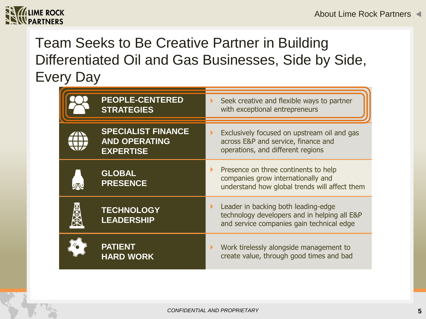

# Team Seeks to Be Creative Partner in Building Differentiated Oil and Gas Businesses, Side by Side, Every Day

| <b>PEOPLE-CENTERED</b><br><b>STRATEGIES</b>                           | Seek creative and flexible ways to partner<br>ь<br>with exceptional entrepreneurs                                                                |
|-----------------------------------------------------------------------|--------------------------------------------------------------------------------------------------------------------------------------------------|
| <b>SPECIALIST FINANCE</b><br><b>AND OPERATING</b><br><b>EXPERTISE</b> | Exclusively focused on upstream oil and gas<br>$\blacktriangleright$<br>across E&P and service, finance and<br>operations, and different regions |
| <b>GLOBAL</b><br><b>PRESENCE</b>                                      | Presence on three continents to help<br>companies grow internationally and<br>understand how global trends will affect them                      |
| <b>TECHNOLOGY</b><br><b>LEADERSHIP</b>                                | Leader in backing both leading-edge<br>technology developers and in helping all E&P<br>and service companies gain technical edge                 |
| <b>PATIENT</b><br><b>HARD WORK</b>                                    | Work tirelessly alongside management to<br>create value, through good times and bad                                                              |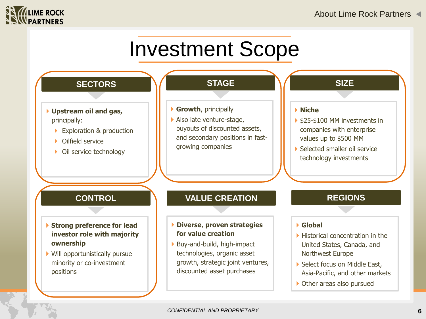

# Investment Scope

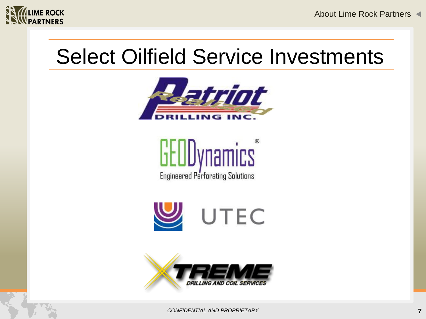

About Lime Rock Partners

# Select Oilfield Service Investments



**Lit UDynamics Engineered Perforating Solutions** 



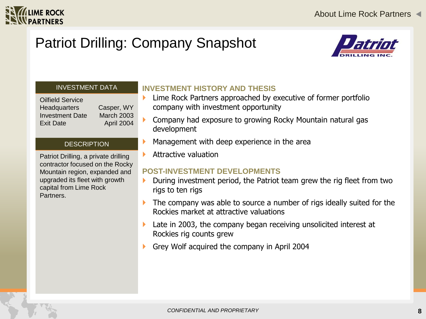

# Patriot Drilling: Company Snapshot



#### INVESTMENT DATA

Oilfield Service Headquarters Casper, WY Investment Date March 2003 Exit Date April 2004

#### **DESCRIPTION**

Patriot Drilling, a private drilling contractor focused on the Rocky Mountain region, expanded and upgraded its fleet with growth capital from Lime Rock Partners.

### **INVESTMENT HISTORY AND THESIS**

- Lime Rock Partners approached by executive of former portfolio company with investment opportunity
- Company had exposure to growing Rocky Mountain natural gas development
- Management with deep experience in the area
- Attractive valuation

- During investment period, the Patriot team grew the rig fleet from two rigs to ten rigs
- The company was able to source a number of rigs ideally suited for the Rockies market at attractive valuations
- Late in 2003, the company began receiving unsolicited interest at Rockies rig counts grew
- Grey Wolf acquired the company in April 2004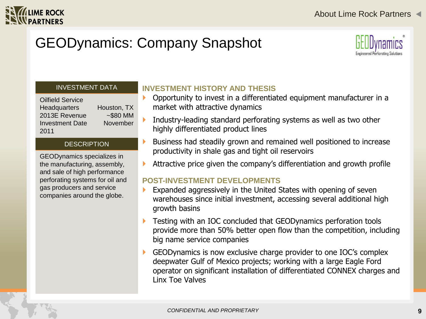

# GEODynamics: Company Snapshot



#### INVESTMENT DATA

Oilfield Service Headquarters Houston, TX 2013E Revenue ~\$80 MM Investment Date November 2011

#### **DESCRIPTION**

GEODynamics specializes in the manufacturing, assembly, and sale of high performance perforating systems for oil and gas producers and service companies around the globe.

## **INVESTMENT HISTORY AND THESIS**

- Opportunity to invest in a differentiated equipment manufacturer in a market with attractive dynamics
- Industry-leading standard perforating systems as well as two other highly differentiated product lines
- Business had steadily grown and remained well positioned to increase productivity in shale gas and tight oil reservoirs
- Attractive price given the company's differentiation and growth profile

- Expanded aggressively in the United States with opening of seven warehouses since initial investment, accessing several additional high growth basins
- Testing with an IOC concluded that GEODynamics perforation tools provide more than 50% better open flow than the competition, including big name service companies
- GEODynamics is now exclusive charge provider to one IOC's complex deepwater Gulf of Mexico projects; working with a large Eagle Ford operator on significant installation of differentiated CONNEX charges and Linx Toe Valves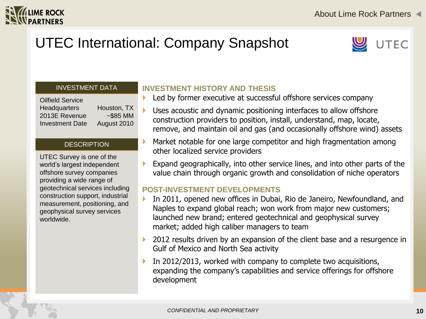

# UTEC International: Company Snapshot



#### INVESTMENT DATA

| <b>Oilfield Service</b> |             |
|-------------------------|-------------|
| <b>Headquarters</b>     | Houston, TX |
| 2013E Revenue           | $~585$ MM   |
| <b>Investment Date</b>  | August 2010 |

#### **DESCRIPTION**

UTEC Survey is one of the world's largest independent offshore survey companies providing a wide range of geotechnical services including construction support, industrial measurement, positioning, and geophysical survey services worldwide.

### **INVESTMENT HISTORY AND THESIS**

- Led by former executive at successful offshore services company
- Uses acoustic and dynamic positioning interfaces to allow offshore construction providers to position, install, understand, map, locate, remove, and maintain oil and gas (and occasionally offshore wind) assets
- Market notable for one large competitor and high fragmentation among other localized service providers
- Expand geographically, into other service lines, and into other parts of the value chain through organic growth and consolidation of niche operators

- In 2011, opened new offices in Dubai, Rio de Janeiro, Newfoundland, and Naples to expand global reach; won work from major new customers; launched new brand; entered geotechnical and geophysical survey market; added high caliber managers to team
- 2012 results driven by an expansion of the client base and a resurgence in Gulf of Mexico and North Sea activity
- In 2012/2013, worked with company to complete two acquisitions, expanding the company's capabilities and service offerings for offshore development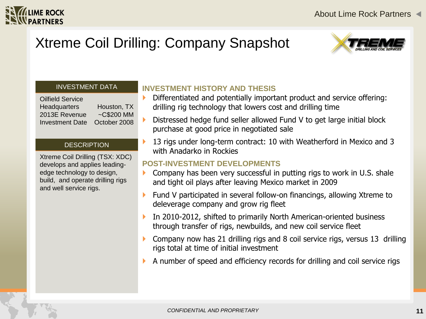

# Xtreme Coil Drilling: Company Snapshot



#### INVESTMENT DATA

| <b>Oilfield Service</b> |                  |
|-------------------------|------------------|
| <b>Headquarters</b>     | Houston, TX      |
| 2013E Revenue           | $\sim$ C\$200 MM |
| <b>Investment Date</b>  | October 2008     |

#### **DESCRIPTION**

Xtreme Coil Drilling (TSX: XDC) develops and applies leadingedge technology to design, build, and operate drilling rigs and well service rigs.

### **INVESTMENT HISTORY AND THESIS**

- Differentiated and potentially important product and service offering: drilling rig technology that lowers cost and drilling time
- Distressed hedge fund seller allowed Fund V to get large initial block purchase at good price in negotiated sale
- 13 rigs under long-term contract: 10 with Weatherford in Mexico and 3 with Anadarko in Rockies

- $\triangleright$  Company has been very successful in putting rigs to work in U.S. shale and tight oil plays after leaving Mexico market in 2009
- ▶ Fund V participated in several follow-on financings, allowing Xtreme to deleverage company and grow rig fleet
- **IF** In 2010-2012, shifted to primarily North American-oriented business through transfer of rigs, newbuilds, and new coil service fleet
- Company now has 21 drilling rigs and 8 coil service rigs, versus 13 drilling rigs total at time of initial investment
- A number of speed and efficiency records for drilling and coil service rigs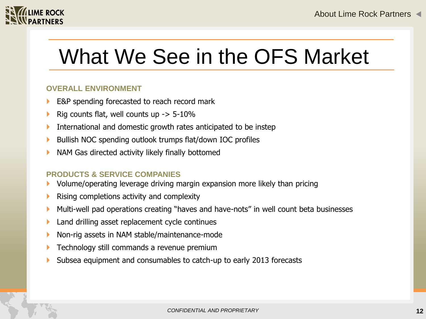

# What We See in the OFS Market

### **OVERALL ENVIRONMENT**

- E&P spending forecasted to reach record mark
- Rig counts flat, well counts up  $-$  5-10%
- International and domestic growth rates anticipated to be instep
- ▶ Bullish NOC spending outlook trumps flat/down IOC profiles
- **NAM Gas directed activity likely finally bottomed**

### **PRODUCTS & SERVICE COMPANIES**

- Volume/operating leverage driving margin expansion more likely than pricing
- $\blacktriangleright$  Rising completions activity and complexity
- Multi-well pad operations creating "haves and have-nots" in well count beta businesses
- **Land drilling asset replacement cycle continues**
- ▶ Non-rig assets in NAM stable/maintenance-mode
- Technology still commands a revenue premium
- Subsea equipment and consumables to catch-up to early 2013 forecasts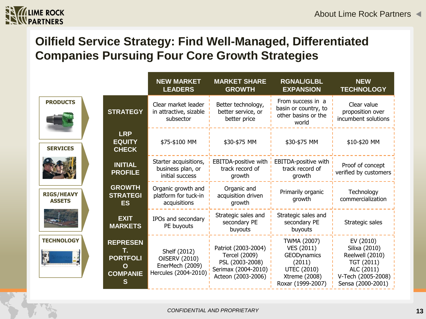

## **Oilfield Service Strategy: Find Well-Managed, Differentiated Companies Pursuing Four Core Growth Strategies**

|                                    |                                                                                 | <b>NEW MARKET</b><br><b>LEADERS</b>                                       | <b>MARKET SHARE</b><br><b>GROWTH</b>                                                                 | <b>RGNAL/GLBL</b><br><b>EXPANSION</b>                                                                                        | <b>NEW</b><br><b>TECHNOLOGY</b>                                                                                      |
|------------------------------------|---------------------------------------------------------------------------------|---------------------------------------------------------------------------|------------------------------------------------------------------------------------------------------|------------------------------------------------------------------------------------------------------------------------------|----------------------------------------------------------------------------------------------------------------------|
| <b>PRODUCTS</b>                    | <b>STRATEGY</b>                                                                 |                                                                           | Better technology,<br>better service, or<br>better price                                             | From success in a<br>basin or country, to<br>other basins or the<br>world                                                    | Clear value<br>proposition over<br>incumbent solutions                                                               |
| <b>SERVICES</b>                    | <b>LRP</b><br><b>EQUITY</b><br><b>CHECK</b>                                     | \$75-\$100 MM                                                             | \$30-\$75 MM                                                                                         | \$30-\$75 MM                                                                                                                 | \$10-\$20 MM                                                                                                         |
|                                    | <b>INITIAL</b><br><b>PROFILE</b>                                                | Starter acquisitions,<br>business plan, or<br>initial success             | EBITDA-positive with<br>track record of<br>growth                                                    | EBITDA-positive with<br>track record of<br>growth                                                                            | Proof of concept<br>verified by customers                                                                            |
| <b>RIGS/HEAVY</b><br><b>ASSETS</b> | <b>GROWTH</b><br><b>STRATEGI</b><br><b>ES</b>                                   | Organic growth and<br>platform for tuck-in<br>acquisitions                | Organic and<br>acquisition driven<br>growth                                                          | Primarily organic<br>growth                                                                                                  | Technology<br>commercialization                                                                                      |
|                                    | <b>EXIT</b><br><b>MARKETS</b>                                                   | IPOs and secondary<br>PE buyouts                                          | Strategic sales and<br>secondary PE<br>buyouts                                                       | Strategic sales and<br>secondary PE<br>buyouts                                                                               | Strategic sales                                                                                                      |
| <b>TECHNOLOGY</b><br>H             | <b>REPRESEN</b><br>Т.<br><b>PORTFOLI</b><br>$\mathbf O$<br><b>COMPANIE</b><br>S | Shelf (2012)<br>OilSERV (2010)<br>EnerMech (2009)<br>Hercules (2004-2010) | Patriot (2003-2004)<br>Tercel (2009)<br>PSL (2003-2008)<br>Serimax (2004-2010)<br>Acteon (2003-2006) | <b>TWMA (2007)</b><br>VES (2011)<br><b>GEODynamics</b><br>(2011)<br><b>UTEC (2010)</b><br>Xtreme (2008)<br>Roxar (1999-2007) | EV (2010)<br>Silixa (2010)<br>Reelwell (2010)<br>TGT (2011)<br>ALC (2011)<br>V-Tech (2005-2008)<br>Sensa (2000-2001) |